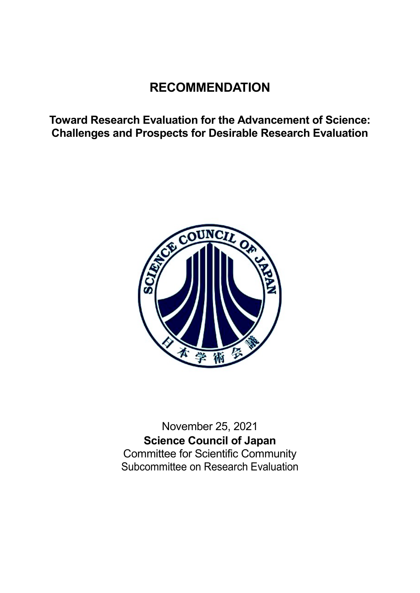# **RECOMMENDATION**

**Toward Research Evaluation for the Advancement of Science: Challenges and Prospects for Desirable Research Evaluation**



November 25, 2021 **Science Council of Japan** Committee for Scientific Community Subcommittee on Research Evaluation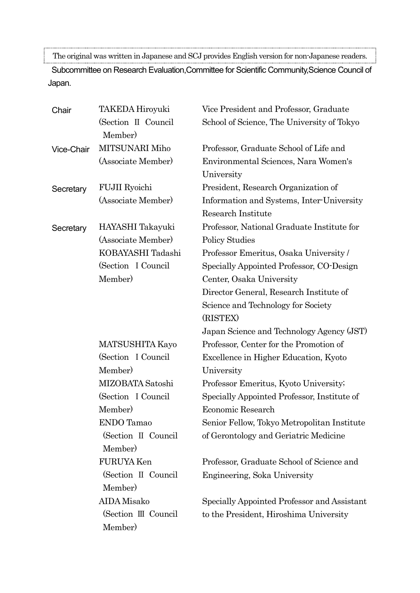The original was written in Japanese and SCJ provides English version for non-Japanese readers.

Subcommittee on Research Evaluation,Committee for Scientific Community,Science Council of Japan.

| Chair             | <b>TAKEDA Hiroyuki</b>         | Vice President and Professor, Graduate                          |
|-------------------|--------------------------------|-----------------------------------------------------------------|
|                   | (Section II Council<br>Member) | School of Science, The University of Tokyo                      |
| <b>Vice-Chair</b> | MITSUNARI Miho                 | Professor, Graduate School of Life and                          |
|                   | (Associate Member)             | Environmental Sciences, Nara Women's<br>University              |
| Secretary         | <b>FUJII</b> Ryoichi           | President, Research Organization of                             |
|                   | (Associate Member)             | Information and Systems, Inter-University<br>Research Institute |
| Secretary         | HAYASHI Takayuki               | Professor, National Graduate Institute for                      |
|                   | (Associate Member)             | <b>Policy Studies</b>                                           |
|                   | KOBAYASHI Tadashi              | Professor Emeritus, Osaka University /                          |
|                   | (Section I Council)            | Specially Appointed Professor, CO-Design                        |
|                   | Member)                        | Center, Osaka University                                        |
|                   |                                | Director General, Research Institute of                         |
|                   |                                | Science and Technology for Society<br>(RISTEX)                  |
|                   |                                | Japan Science and Technology Agency (JST)                       |
|                   | <b>MATSUSHITA Kayo</b>         | Professor, Center for the Promotion of                          |
|                   | (Section I Council)<br>Member) | Excellence in Higher Education, Kyoto<br>University             |
|                   | MIZOBATA Satoshi               | Professor Emeritus, Kyoto University;                           |
|                   | (Section I Council)            | Specially Appointed Professor, Institute of                     |
|                   | Member)                        | Economic Research                                               |
|                   | ENDO Tamao                     | Senior Fellow, Tokyo Metropolitan Institute                     |
|                   | (Section II Council<br>Member) | of Gerontology and Geriatric Medicine                           |
|                   | FURUYA Ken                     | Professor, Graduate School of Science and                       |
|                   | (Section II Council<br>Member) | Engineering, Soka University                                    |
|                   | AIDA Misako                    | Specially Appointed Professor and Assistant                     |
|                   | (Section III Council           | to the President, Hiroshima University                          |
|                   | Member)                        |                                                                 |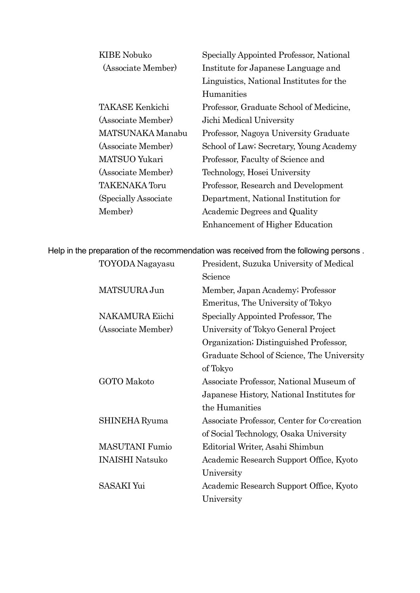| <b>KIBE Nobuko</b>    | Specially Appointed Professor, National  |
|-----------------------|------------------------------------------|
| (Associate Member)    | Institute for Japanese Language and      |
|                       | Linguistics, National Institutes for the |
|                       | Humanities                               |
| TAKASE Kenkichi       | Professor, Graduate School of Medicine,  |
| (Associate Member)    | Jichi Medical University                 |
| MATSUNAKA Manabu      | Professor, Nagoya University Graduate    |
| (Associate Member)    | School of Law; Secretary, Young Academy  |
| MATSUO Yukari         | Professor, Faculty of Science and        |
| (Associate Member)    | Technology, Hosei University             |
| <b>TAKENAKA Toru</b>  | Professor, Research and Development      |
| (Specially Associate) | Department, National Institution for     |
| Member)               | Academic Degrees and Quality             |
|                       | <b>Enhancement of Higher Education</b>   |

Help in the preparation of the recommendation was received from the following persons .

| TOYODA Nagayasu        | President, Suzuka University of Medical     |
|------------------------|---------------------------------------------|
|                        | Science                                     |
| MATSUURA Jun           | Member, Japan Academy; Professor            |
|                        | Emeritus, The University of Tokyo           |
| <b>NAKAMURA Eiichi</b> | Specially Appointed Professor, The          |
| (Associate Member)     | University of Tokyo General Project         |
|                        | Organization; Distinguished Professor,      |
|                        | Graduate School of Science, The University  |
|                        | of Tokyo                                    |
| GOTO Makoto            | Associate Professor, National Museum of     |
|                        | Japanese History, National Institutes for   |
|                        | the Humanities                              |
| SHINEHA Ryuma          | Associate Professor, Center for Co-creation |
|                        | of Social Technology, Osaka University      |
| <b>MASUTANI</b> Fumio  | Editorial Writer, Asahi Shimbun             |
| <b>INAISHI Natsuko</b> | Academic Research Support Office, Kyoto     |
|                        | University                                  |
| <b>SASAKI Yui</b>      | Academic Research Support Office, Kyoto     |
|                        | University                                  |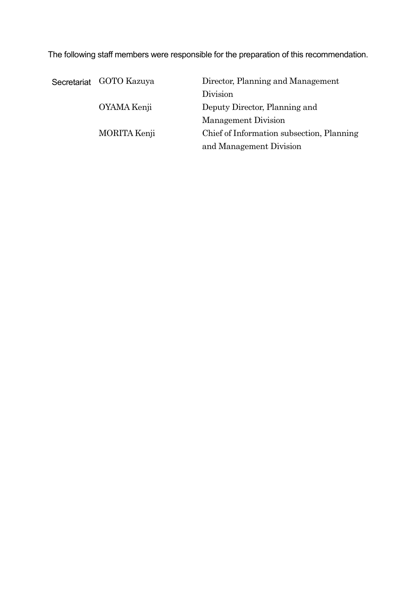The following staff members were responsible for the preparation of this recommendation.

| Secretariat GOTO Kazuya | Director, Planning and Management         |
|-------------------------|-------------------------------------------|
|                         | Division                                  |
| OYAMA Kenji             | Deputy Director, Planning and             |
|                         | Management Division                       |
| MORITA Kenji            | Chief of Information subsection, Planning |
|                         | and Management Division                   |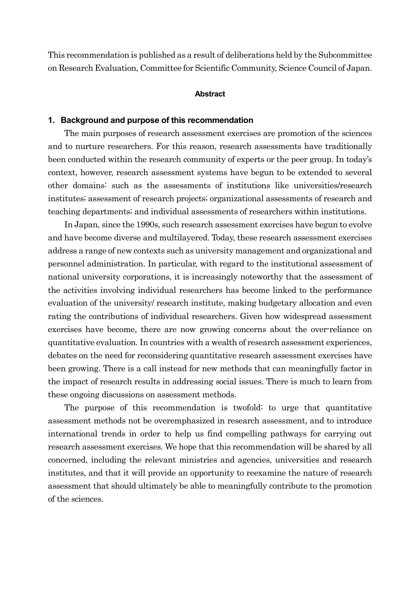This recommendation is published as a result of deliberations held by the Subcommittee on Research Evaluation, Committee for Scientific Community, Science Council of Japan.

#### **Abstract**

#### **1. Background and purpose of this recommendation**

The main purposes of research assessment exercises are promotion of the sciences and to nurture researchers. For this reason, research assessments have traditionally been conducted within the research community of experts or the peer group. In today's context, however, research assessment systems have begun to be extended to several other domains: such as the assessments of institutions like universities/research institutes; assessment of research projects; organizational assessments of research and teaching departments; and individual assessments of researchers within institutions.

In Japan, since the 1990s, such research assessment exercises have begun to evolve and have become diverse and multilayered. Today, these research assessment exercises address a range of new contexts such as university management and organizational and personnel administration. In particular, with regard to the institutional assessment of national university corporations, it is increasingly noteworthy that the assessment of the activities involving individual researchers has become linked to the performance evaluation of the university/ research institute, making budgetary allocation and even rating the contributions of individual researchers. Given how widespread assessment exercises have become, there are now growing concerns about the over-reliance on quantitative evaluation. In countries with a wealth of research assessment experiences, debates on the need for reconsidering quantitative research assessment exercises have been growing. There is a call instead for new methods that can meaningfully factor in the impact of research results in addressing social issues. There is much to learn from these ongoing discussions on assessment methods.

The purpose of this recommendation is twofold: to urge that quantitative assessment methods not be overemphasized in research assessment, and to introduce international trends in order to help us find compelling pathways for carrying out research assessment exercises. We hope that this recommendation will be shared by all concerned, including the relevant ministries and agencies, universities and research institutes, and that it will provide an opportunity to reexamine the nature of research assessment that should ultimately be able to meaningfully contribute to the promotion of the sciences.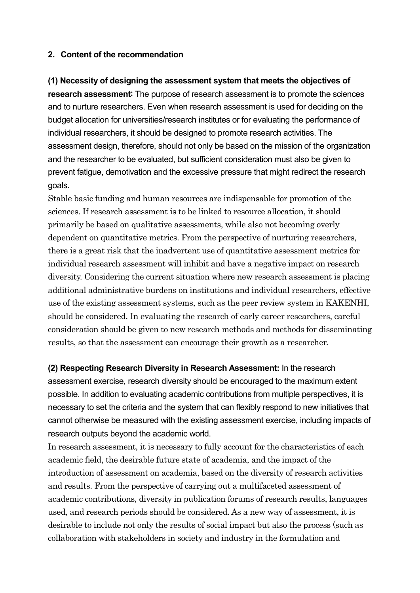### **2. Content of the recommendation**

## **(1) Necessity of designing the assessment system that meets the objectives of research assessment**: The purpose of research assessment is to promote the sciences and to nurture researchers. Even when research assessment is used for deciding on the budget allocation for universities/research institutes or for evaluating the performance of individual researchers, it should be designed to promote research activities. The assessment design, therefore, should not only be based on the mission of the organization and the researcher to be evaluated, but sufficient consideration must also be given to prevent fatigue, demotivation and the excessive pressure that might redirect the research goals.

Stable basic funding and human resources are indispensable for promotion of the sciences. If research assessment is to be linked to resource allocation, it should primarily be based on qualitative assessments, while also not becoming overly dependent on quantitative metrics. From the perspective of nurturing researchers, there is a great risk that the inadvertent use of quantitative assessment metrics for individual research assessment will inhibit and have a negative impact on research diversity. Considering the current situation where new research assessment is placing additional administrative burdens on institutions and individual researchers, effective use of the existing assessment systems, such as the peer review system in KAKENHI, should be considered. In evaluating the research of early career researchers, careful consideration should be given to new research methods and methods for disseminating results, so that the assessment can encourage their growth as a researcher.

**(2) Respecting Research Diversity in Research Assessment:** In the research assessment exercise, research diversity should be encouraged to the maximum extent possible. In addition to evaluating academic contributions from multiple perspectives, it is necessary to set the criteria and the system that can flexibly respond to new initiatives that cannot otherwise be measured with the existing assessment exercise, including impacts of research outputs beyond the academic world.

In research assessment, it is necessary to fully account for the characteristics of each academic field, the desirable future state of academia, and the impact of the introduction of assessment on academia, based on the diversity of research activities and results. From the perspective of carrying out a multifaceted assessment of academic contributions, diversity in publication forums of research results, languages used, and research periods should be considered. As a new way of assessment, it is desirable to include not only the results of social impact but also the process (such as collaboration with stakeholders in society and industry in the formulation and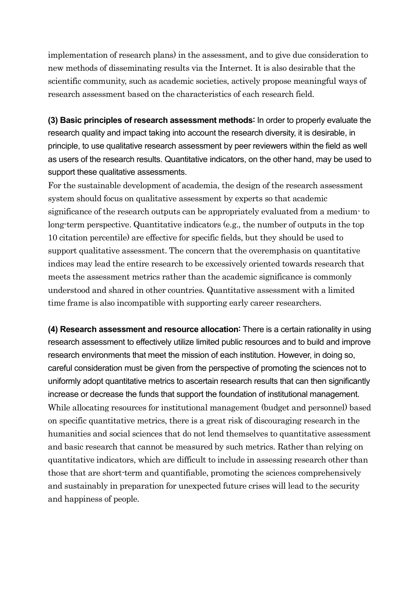implementation of research plans) in the assessment, and to give due consideration to new methods of disseminating results via the Internet. It is also desirable that the scientific community, such as academic societies, actively propose meaningful ways of research assessment based on the characteristics of each research field.

**(3) Basic principles of research assessment methods**: In order to properly evaluate the research quality and impact taking into account the research diversity, it is desirable, in principle, to use qualitative research assessment by peer reviewers within the field as well as users of the research results. Quantitative indicators, on the other hand, may be used to support these qualitative assessments.

For the sustainable development of academia, the design of the research assessment system should focus on qualitative assessment by experts so that academic significance of the research outputs can be appropriately evaluated from a medium- to long-term perspective. Quantitative indicators (e.g., the number of outputs in the top 10 citation percentile) are effective for specific fields, but they should be used to support qualitative assessment. The concern that the overemphasis on quantitative indices may lead the entire research to be excessively oriented towards research that meets the assessment metrics rather than the academic significance is commonly understood and shared in other countries. Quantitative assessment with a limited time frame is also incompatible with supporting early career researchers.

**(4) Research assessment and resource allocation**: There is a certain rationality in using research assessment to effectively utilize limited public resources and to build and improve research environments that meet the mission of each institution. However, in doing so, careful consideration must be given from the perspective of promoting the sciences not to uniformly adopt quantitative metrics to ascertain research results that can then significantly increase or decrease the funds that support the foundation of institutional management. While allocating resources for institutional management (budget and personnel) based on specific quantitative metrics, there is a great risk of discouraging research in the humanities and social sciences that do not lend themselves to quantitative assessment and basic research that cannot be measured by such metrics. Rather than relying on quantitative indicators, which are difficult to include in assessing research other than those that are short-term and quantifiable, promoting the sciences comprehensively and sustainably in preparation for unexpected future crises will lead to the security and happiness of people.